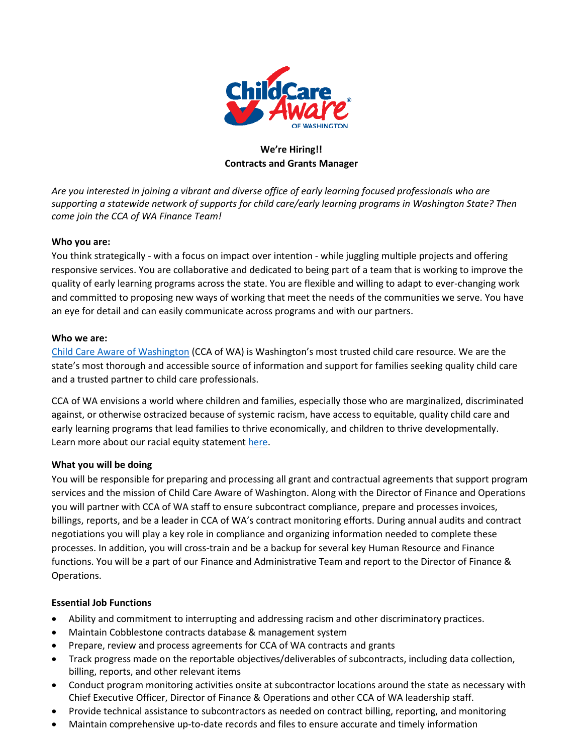

# **We're Hiring!! Contracts and Grants Manager**

*Are you interested in joining a vibrant and diverse office of early learning focused professionals who are supporting a statewide network of supports for child care/early learning programs in Washington State? Then come join the CCA of WA Finance Team!*

# **Who you are:**

You think strategically - with a focus on impact over intention - while juggling multiple projects and offering responsive services. You are collaborative and dedicated to being part of a team that is working to improve the quality of early learning programs across the state. You are flexible and willing to adapt to ever-changing work and committed to proposing new ways of working that meet the needs of the communities we serve. You have an eye for detail and can easily communicate across programs and with our partners.

#### **Who we are:**

[Child Care Aware of Washington](https://childcareawarewa.org/) (CCA of WA) is Washington's most trusted child care resource. We are the state's most thorough and accessible source of information and support for families seeking quality child care and a trusted partner to child care professionals.

CCA of WA envisions a world where children and families, especially those who are marginalized, discriminated against, or otherwise ostracized because of systemic racism, have access to equitable, quality child care and early learning programs that lead families to thrive economically, and children to thrive developmentally. Learn more about our racial equity statemen[t here.](chrome-extension://efaidnbmnnnibpcajpcglclefindmkaj/viewer.html?pdfurl=https%3A%2F%2Fchildcareawarewa.org%2Fwp-content%2Fuploads%2F2021%2F10%2FCCAWA-RACIAL-EQUITY-POLICY.pdf&clen=110931&chunk=true)

#### **What you will be doing**

You will be responsible for preparing and processing all grant and contractual agreements that support program services and the mission of Child Care Aware of Washington. Along with the Director of Finance and Operations you will partner with CCA of WA staff to ensure subcontract compliance, prepare and processes invoices, billings, reports, and be a leader in CCA of WA's contract monitoring efforts. During annual audits and contract negotiations you will play a key role in compliance and organizing information needed to complete these processes. In addition, you will cross-train and be a backup for several key Human Resource and Finance functions. You will be a part of our Finance and Administrative Team and report to the Director of Finance & Operations.

#### **Essential Job Functions**

- Ability and commitment to interrupting and addressing racism and other discriminatory practices.
- Maintain Cobblestone contracts database & management system
- Prepare, review and process agreements for CCA of WA contracts and grants
- Track progress made on the reportable objectives/deliverables of subcontracts, including data collection, billing, reports, and other relevant items
- Conduct program monitoring activities onsite at subcontractor locations around the state as necessary with Chief Executive Officer, Director of Finance & Operations and other CCA of WA leadership staff.
- Provide technical assistance to subcontractors as needed on contract billing, reporting, and monitoring
- Maintain comprehensive up-to-date records and files to ensure accurate and timely information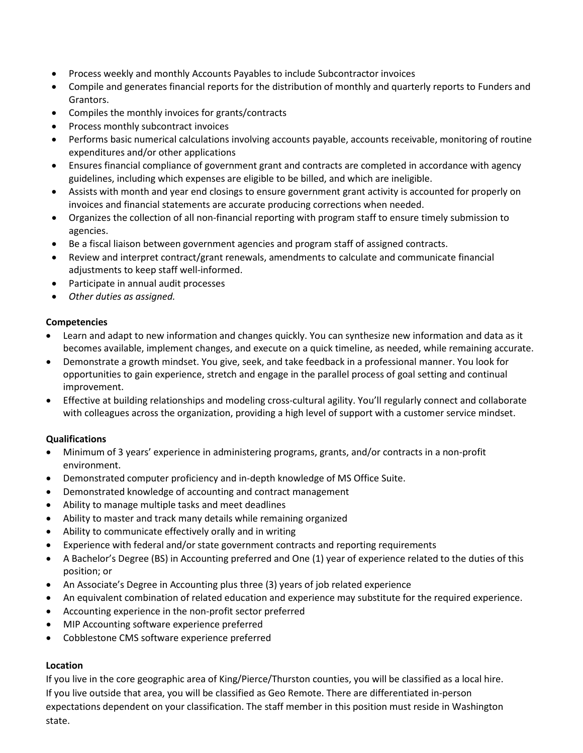- Process weekly and monthly Accounts Payables to include Subcontractor invoices
- Compile and generates financial reports for the distribution of monthly and quarterly reports to Funders and Grantors.
- Compiles the monthly invoices for grants/contracts
- Process monthly subcontract invoices
- Performs basic numerical calculations involving accounts payable, accounts receivable, monitoring of routine expenditures and/or other applications
- Ensures financial compliance of government grant and contracts are completed in accordance with agency guidelines, including which expenses are eligible to be billed, and which are ineligible.
- Assists with month and year end closings to ensure government grant activity is accounted for properly on invoices and financial statements are accurate producing corrections when needed.
- Organizes the collection of all non-financial reporting with program staff to ensure timely submission to agencies.
- Be a fiscal liaison between government agencies and program staff of assigned contracts.
- Review and interpret contract/grant renewals, amendments to calculate and communicate financial adjustments to keep staff well-informed.
- Participate in annual audit processes
- *Other duties as assigned.*

#### **Competencies**

- Learn and adapt to new information and changes quickly. You can synthesize new information and data as it becomes available, implement changes, and execute on a quick timeline, as needed, while remaining accurate.
- Demonstrate a growth mindset. You give, seek, and take feedback in a professional manner. You look for opportunities to gain experience, stretch and engage in the parallel process of goal setting and continual improvement.
- Effective at building relationships and modeling cross-cultural agility. You'll regularly connect and collaborate with colleagues across the organization, providing a high level of support with a customer service mindset.

#### **Qualifications**

- Minimum of 3 years' experience in administering programs, grants, and/or contracts in a non-profit environment.
- Demonstrated computer proficiency and in-depth knowledge of MS Office Suite.
- Demonstrated knowledge of accounting and contract management
- Ability to manage multiple tasks and meet deadlines
- Ability to master and track many details while remaining organized
- Ability to communicate effectively orally and in writing
- Experience with federal and/or state government contracts and reporting requirements
- A Bachelor's Degree (BS) in Accounting preferred and One (1) year of experience related to the duties of this position; or
- An Associate's Degree in Accounting plus three (3) years of job related experience
- An equivalent combination of related education and experience may substitute for the required experience.
- Accounting experience in the non-profit sector preferred
- MIP Accounting software experience preferred
- Cobblestone CMS software experience preferred

# **Location**

If you live in the core geographic area of King/Pierce/Thurston counties, you will be classified as a local hire. If you live outside that area, you will be classified as Geo Remote. There are differentiated in-person expectations dependent on your classification. The staff member in this position must reside in Washington state.